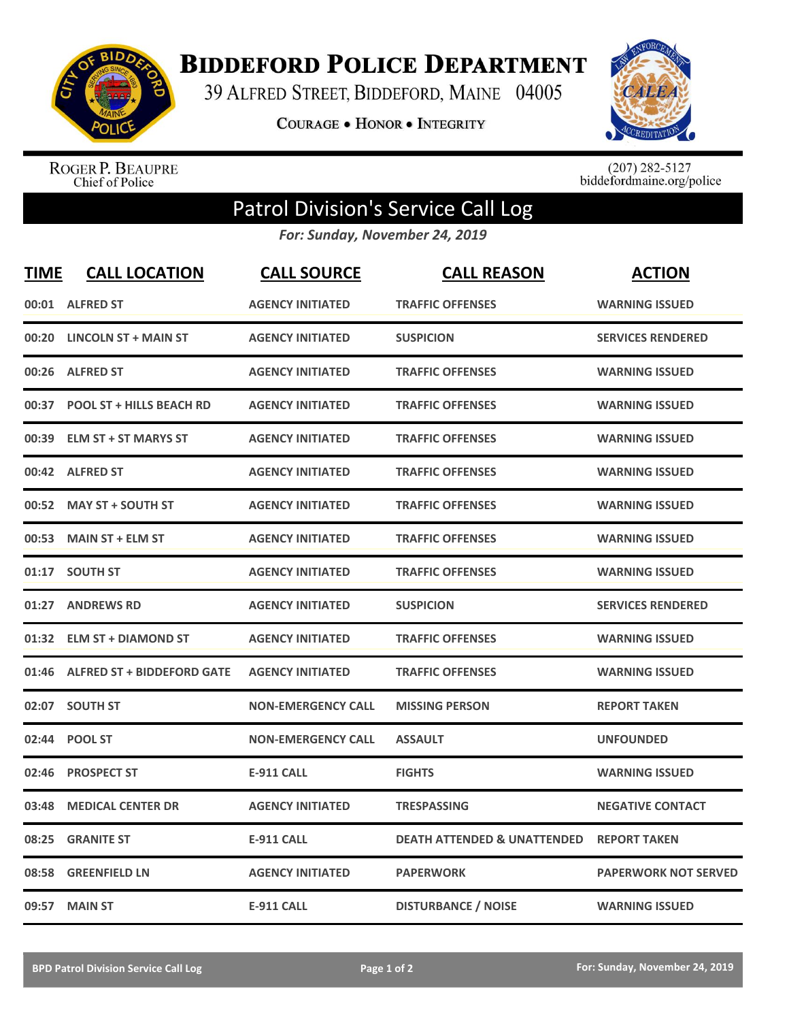

**BIDDEFORD POLICE DEPARTMENT** 

39 ALFRED STREET, BIDDEFORD, MAINE 04005

**COURAGE . HONOR . INTEGRITY** 



ROGER P. BEAUPRE<br>Chief of Police

 $(207)$  282-5127<br>biddefordmaine.org/police

## Patrol Division's Service Call Log

*For: Sunday, November 24, 2019*

| <b>TIME</b> | <b>CALL LOCATION</b>              | <b>CALL SOURCE</b>        | <b>CALL REASON</b>                     | <b>ACTION</b>               |
|-------------|-----------------------------------|---------------------------|----------------------------------------|-----------------------------|
| 00:01       | <b>ALFRED ST</b>                  | <b>AGENCY INITIATED</b>   | <b>TRAFFIC OFFENSES</b>                | <b>WARNING ISSUED</b>       |
| 00:20       | <b>LINCOLN ST + MAIN ST</b>       | <b>AGENCY INITIATED</b>   | <b>SUSPICION</b>                       | <b>SERVICES RENDERED</b>    |
| 00:26       | <b>ALFRED ST</b>                  | <b>AGENCY INITIATED</b>   | <b>TRAFFIC OFFENSES</b>                | <b>WARNING ISSUED</b>       |
| 00:37       | <b>POOL ST + HILLS BEACH RD</b>   | <b>AGENCY INITIATED</b>   | <b>TRAFFIC OFFENSES</b>                | <b>WARNING ISSUED</b>       |
| 00:39       | <b>ELM ST + ST MARYS ST</b>       | <b>AGENCY INITIATED</b>   | <b>TRAFFIC OFFENSES</b>                | <b>WARNING ISSUED</b>       |
|             | 00:42 ALFRED ST                   | <b>AGENCY INITIATED</b>   | <b>TRAFFIC OFFENSES</b>                | <b>WARNING ISSUED</b>       |
| 00:52       | <b>MAY ST + SOUTH ST</b>          | <b>AGENCY INITIATED</b>   | <b>TRAFFIC OFFENSES</b>                | <b>WARNING ISSUED</b>       |
| 00:53       | <b>MAIN ST + ELM ST</b>           | <b>AGENCY INITIATED</b>   | <b>TRAFFIC OFFENSES</b>                | <b>WARNING ISSUED</b>       |
| 01:17       | <b>SOUTH ST</b>                   | <b>AGENCY INITIATED</b>   | <b>TRAFFIC OFFENSES</b>                | <b>WARNING ISSUED</b>       |
| 01:27       | <b>ANDREWS RD</b>                 | <b>AGENCY INITIATED</b>   | <b>SUSPICION</b>                       | <b>SERVICES RENDERED</b>    |
|             | 01:32 ELM ST + DIAMOND ST         | <b>AGENCY INITIATED</b>   | <b>TRAFFIC OFFENSES</b>                | <b>WARNING ISSUED</b>       |
| 01:46       | <b>ALFRED ST + BIDDEFORD GATE</b> | <b>AGENCY INITIATED</b>   | <b>TRAFFIC OFFENSES</b>                | <b>WARNING ISSUED</b>       |
| 02:07       | <b>SOUTH ST</b>                   | <b>NON-EMERGENCY CALL</b> | <b>MISSING PERSON</b>                  | <b>REPORT TAKEN</b>         |
| 02:44       | <b>POOL ST</b>                    | <b>NON-EMERGENCY CALL</b> | <b>ASSAULT</b>                         | <b>UNFOUNDED</b>            |
| 02:46       | <b>PROSPECT ST</b>                | <b>E-911 CALL</b>         | <b>FIGHTS</b>                          | <b>WARNING ISSUED</b>       |
| 03:48       | <b>MEDICAL CENTER DR</b>          | <b>AGENCY INITIATED</b>   | <b>TRESPASSING</b>                     | <b>NEGATIVE CONTACT</b>     |
| 08:25       | <b>GRANITE ST</b>                 | <b>E-911 CALL</b>         | <b>DEATH ATTENDED &amp; UNATTENDED</b> | <b>REPORT TAKEN</b>         |
| 08:58       | <b>GREENFIELD LN</b>              | <b>AGENCY INITIATED</b>   | <b>PAPERWORK</b>                       | <b>PAPERWORK NOT SERVED</b> |
| 09:57       | <b>MAIN ST</b>                    | <b>E-911 CALL</b>         | <b>DISTURBANCE / NOISE</b>             | <b>WARNING ISSUED</b>       |